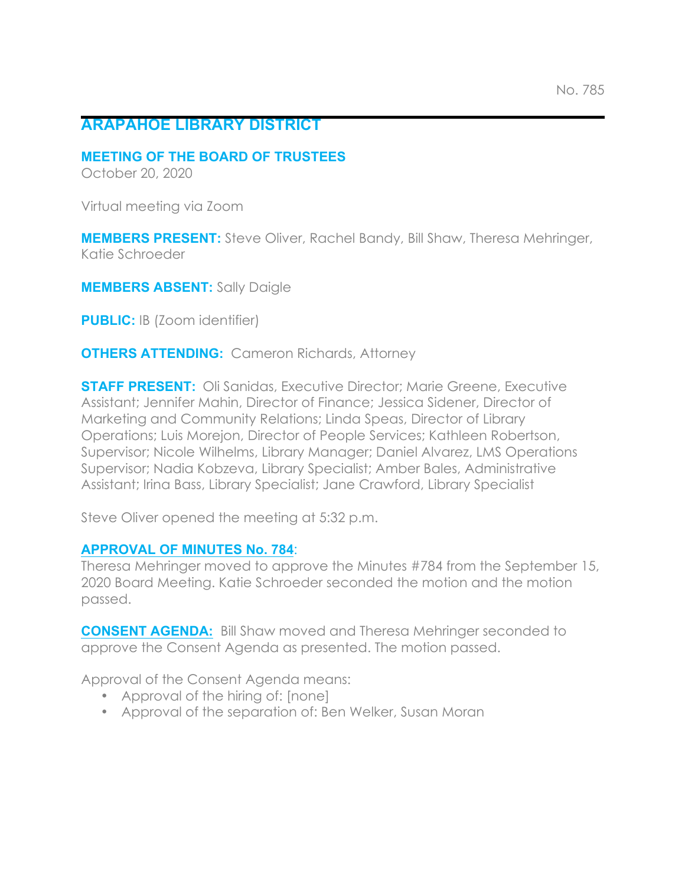## **ARAPAHOE LIBRARY DISTRICT**

## **MEETING OF THE BOARD OF TRUSTEES**

October 20, 2020

Virtual meeting via Zoom

**MEMBERS PRESENT:** Steve Oliver, Rachel Bandy, Bill Shaw, Theresa Mehringer, Katie Schroeder

**MEMBERS ABSENT:** Sally Daigle

**PUBLIC:** IB (Zoom identifier)

**OTHERS ATTENDING:** Cameron Richards, Attorney

**STAFF PRESENT:** Oli Sanidas, Executive Director; Marie Greene, Executive Assistant; Jennifer Mahin, Director of Finance; Jessica Sidener, Director of Marketing and Community Relations; Linda Speas, Director of Library Operations; Luis Morejon, Director of People Services; Kathleen Robertson, Supervisor; Nicole Wilhelms, Library Manager; Daniel Alvarez, LMS Operations Supervisor; Nadia Kobzeva, Library Specialist; Amber Bales, Administrative Assistant; Irina Bass, Library Specialist; Jane Crawford, Library Specialist

Steve Oliver opened the meeting at 5:32 p.m.

## **APPROVAL OF MINUTES No. 784**:

Theresa Mehringer moved to approve the Minutes #784 from the September 15, 2020 Board Meeting. Katie Schroeder seconded the motion and the motion passed.

**CONSENT AGENDA:** Bill Shaw moved and Theresa Mehringer seconded to approve the Consent Agenda as presented. The motion passed.

Approval of the Consent Agenda means:

- Approval of the hiring of: [none]
- Approval of the separation of: Ben Welker, Susan Moran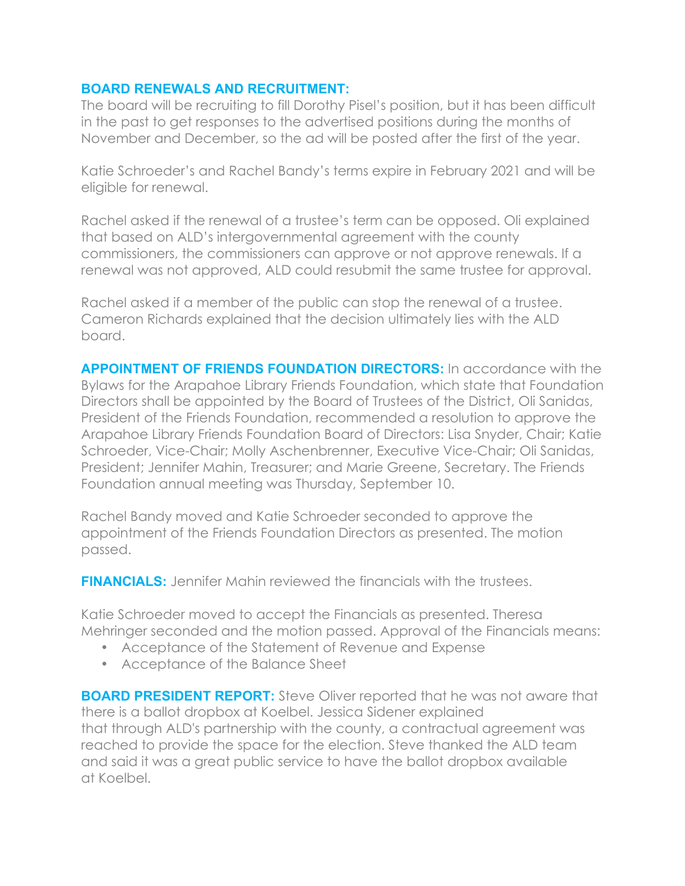## **BOARD RENEWALS AND RECRUITMENT:**

The board will be recruiting to fill Dorothy Pisel's position, but it has been difficult in the past to get responses to the advertised positions during the months of November and December, so the ad will be posted after the first of the year.

Katie Schroeder's and Rachel Bandy's terms expire in February 2021 and will be eligible for renewal.

Rachel asked if the renewal of a trustee's term can be opposed. Oli explained that based on ALD's intergovernmental agreement with the county commissioners, the commissioners can approve or not approve renewals. If a renewal was not approved, ALD could resubmit the same trustee for approval.

Rachel asked if a member of the public can stop the renewal of a trustee. Cameron Richards explained that the decision ultimately lies with the ALD board.

**APPOINTMENT OF FRIENDS FOUNDATION DIRECTORS:** In accordance with the Bylaws for the Arapahoe Library Friends Foundation, which state that Foundation Directors shall be appointed by the Board of Trustees of the District, Oli Sanidas, President of the Friends Foundation, recommended a resolution to approve the Arapahoe Library Friends Foundation Board of Directors: Lisa Snyder, Chair; Katie Schroeder, Vice-Chair; Molly Aschenbrenner, Executive Vice-Chair; Oli Sanidas, President; Jennifer Mahin, Treasurer; and Marie Greene, Secretary. The Friends Foundation annual meeting was Thursday, September 10.

Rachel Bandy moved and Katie Schroeder seconded to approve the appointment of the Friends Foundation Directors as presented. The motion passed.

**FINANCIALS:** Jennifer Mahin reviewed the financials with the trustees.

Katie Schroeder moved to accept the Financials as presented. Theresa Mehringer seconded and the motion passed. Approval of the Financials means:

- Acceptance of the Statement of Revenue and Expense
- Acceptance of the Balance Sheet

**BOARD PRESIDENT REPORT:** Steve Oliver reported that he was not aware that there is a ballot dropbox at Koelbel. Jessica Sidener explained that through ALD's partnership with the county, a contractual agreement was reached to provide the space for the election. Steve thanked the ALD team and said it was a great public service to have the ballot dropbox available at Koelbel.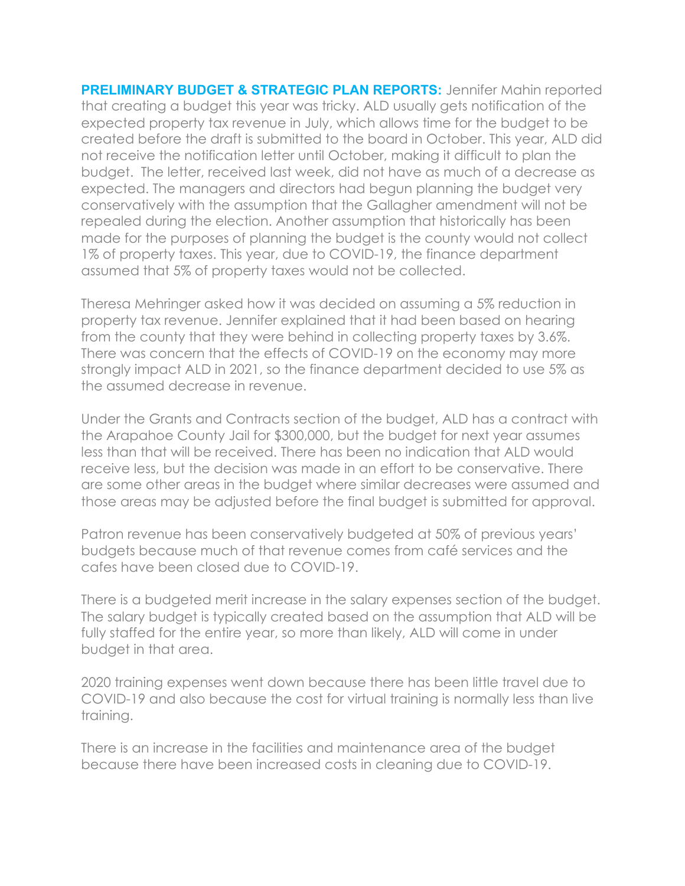**PRELIMINARY BUDGET & STRATEGIC PLAN REPORTS:** Jennifer Mahin reported that creating a budget this year was tricky. ALD usually gets notification of the expected property tax revenue in July, which allows time for the budget to be created before the draft is submitted to the board in October. This year, ALD did not receive the notification letter until October, making it difficult to plan the budget. The letter, received last week, did not have as much of a decrease as expected. The managers and directors had begun planning the budget very conservatively with the assumption that the Gallagher amendment will not be repealed during the election. Another assumption that historically has been made for the purposes of planning the budget is the county would not collect 1% of property taxes. This year, due to COVID-19, the finance department assumed that 5% of property taxes would not be collected.

Theresa Mehringer asked how it was decided on assuming a 5% reduction in property tax revenue. Jennifer explained that it had been based on hearing from the county that they were behind in collecting property taxes by 3.6%. There was concern that the effects of COVID-19 on the economy may more strongly impact ALD in 2021, so the finance department decided to use 5% as the assumed decrease in revenue.

Under the Grants and Contracts section of the budget, ALD has a contract with the Arapahoe County Jail for \$300,000, but the budget for next year assumes less than that will be received. There has been no indication that ALD would receive less, but the decision was made in an effort to be conservative. There are some other areas in the budget where similar decreases were assumed and those areas may be adjusted before the final budget is submitted for approval.

Patron revenue has been conservatively budgeted at 50% of previous years' budgets because much of that revenue comes from café services and the cafes have been closed due to COVID-19.

There is a budgeted merit increase in the salary expenses section of the budget. The salary budget is typically created based on the assumption that ALD will be fully staffed for the entire year, so more than likely, ALD will come in under budget in that area.

2020 training expenses went down because there has been little travel due to COVID-19 and also because the cost for virtual training is normally less than live training.

There is an increase in the facilities and maintenance area of the budget because there have been increased costs in cleaning due to COVID-19.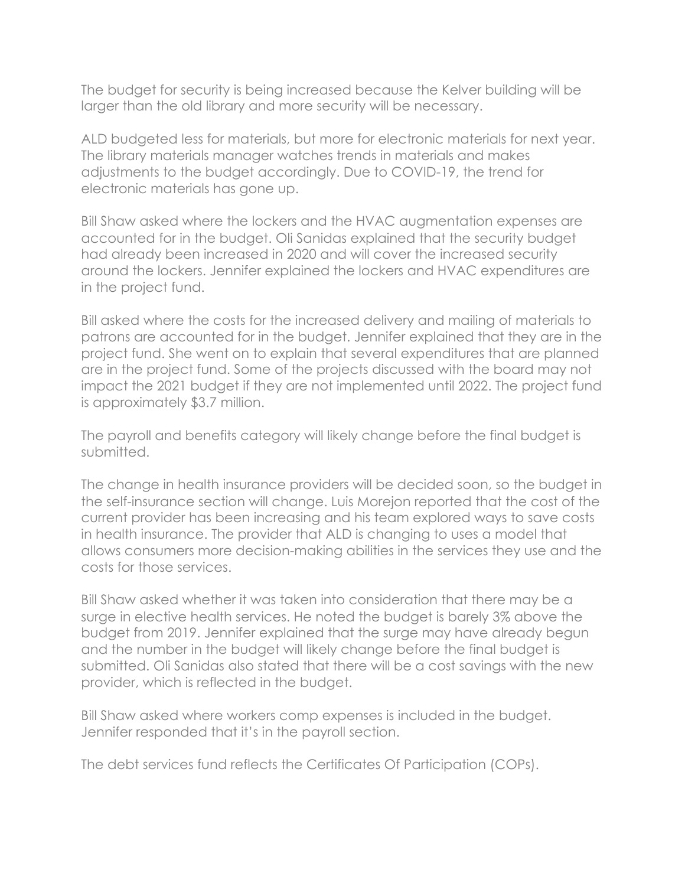The budget for security is being increased because the Kelver building will be larger than the old library and more security will be necessary.

ALD budgeted less for materials, but more for electronic materials for next year. The library materials manager watches trends in materials and makes adjustments to the budget accordingly. Due to COVID-19, the trend for electronic materials has gone up.

Bill Shaw asked where the lockers and the HVAC augmentation expenses are accounted for in the budget. Oli Sanidas explained that the security budget had already been increased in 2020 and will cover the increased security around the lockers. Jennifer explained the lockers and HVAC expenditures are in the project fund.

Bill asked where the costs for the increased delivery and mailing of materials to patrons are accounted for in the budget. Jennifer explained that they are in the project fund. She went on to explain that several expenditures that are planned are in the project fund. Some of the projects discussed with the board may not impact the 2021 budget if they are not implemented until 2022. The project fund is approximately \$3.7 million.

The payroll and benefits category will likely change before the final budget is submitted.

The change in health insurance providers will be decided soon, so the budget in the self-insurance section will change. Luis Morejon reported that the cost of the current provider has been increasing and his team explored ways to save costs in health insurance. The provider that ALD is changing to uses a model that allows consumers more decision-making abilities in the services they use and the costs for those services.

Bill Shaw asked whether it was taken into consideration that there may be a surge in elective health services. He noted the budget is barely 3% above the budget from 2019. Jennifer explained that the surge may have already begun and the number in the budget will likely change before the final budget is submitted. Oli Sanidas also stated that there will be a cost savings with the new provider, which is reflected in the budget.

Bill Shaw asked where workers comp expenses is included in the budget. Jennifer responded that it's in the payroll section.

The debt services fund reflects the Certificates Of Participation (COPs).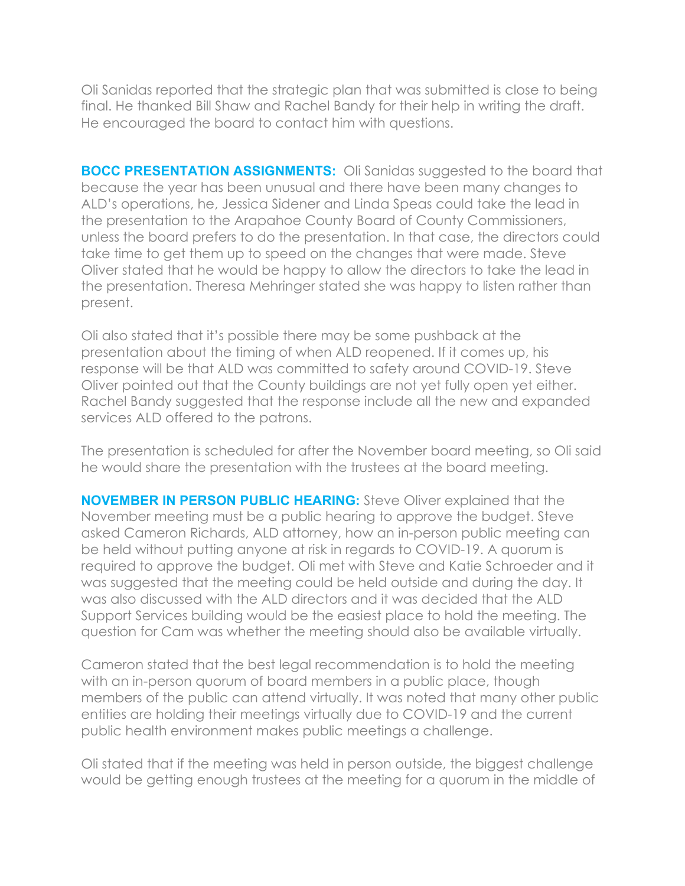Oli Sanidas reported that the strategic plan that was submitted is close to being final. He thanked Bill Shaw and Rachel Bandy for their help in writing the draft. He encouraged the board to contact him with questions.

**BOCC PRESENTATION ASSIGNMENTS:** Oli Sanidas suggested to the board that because the year has been unusual and there have been many changes to ALD's operations, he, Jessica Sidener and Linda Speas could take the lead in the presentation to the Arapahoe County Board of County Commissioners, unless the board prefers to do the presentation. In that case, the directors could take time to get them up to speed on the changes that were made. Steve Oliver stated that he would be happy to allow the directors to take the lead in the presentation. Theresa Mehringer stated she was happy to listen rather than present.

Oli also stated that it's possible there may be some pushback at the presentation about the timing of when ALD reopened. If it comes up, his response will be that ALD was committed to safety around COVID-19. Steve Oliver pointed out that the County buildings are not yet fully open yet either. Rachel Bandy suggested that the response include all the new and expanded services ALD offered to the patrons.

The presentation is scheduled for after the November board meeting, so Oli said he would share the presentation with the trustees at the board meeting.

**NOVEMBER IN PERSON PUBLIC HEARING:** Steve Oliver explained that the November meeting must be a public hearing to approve the budget. Steve asked Cameron Richards, ALD attorney, how an in-person public meeting can be held without putting anyone at risk in regards to COVID-19. A quorum is required to approve the budget. Oli met with Steve and Katie Schroeder and it was suggested that the meeting could be held outside and during the day. It was also discussed with the ALD directors and it was decided that the ALD Support Services building would be the easiest place to hold the meeting. The question for Cam was whether the meeting should also be available virtually.

Cameron stated that the best legal recommendation is to hold the meeting with an in-person quorum of board members in a public place, though members of the public can attend virtually. It was noted that many other public entities are holding their meetings virtually due to COVID-19 and the current public health environment makes public meetings a challenge.

Oli stated that if the meeting was held in person outside, the biggest challenge would be getting enough trustees at the meeting for a quorum in the middle of